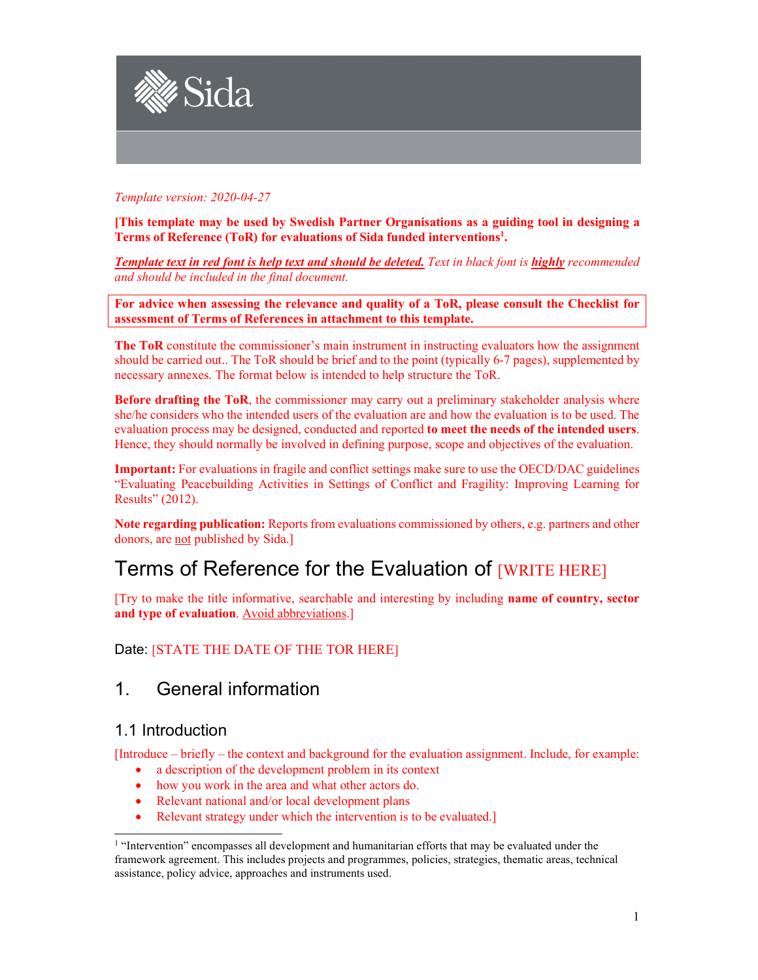

*Template version: 2020-04-27* 

**[This template may be used by Swedish Partner Organisations as a guiding tool in designing a Terms of Reference (ToR) for evaluations of Sida funded interventions1 .** 

**Template text in red font is help text and should be deleted.** Text in black font is *highly* recommended *and should be included in the final document.* 

**For advice when assessing the relevance and quality of a ToR, please consult the Checklist for assessment of Terms of References in attachment to this template.**

**The ToR** constitute the commissioner's main instrument in instructing evaluators how the assignment should be carried out.. The ToR should be brief and to the point (typically 6-7 pages), supplemented by necessary annexes. The format below is intended to help structure the ToR.

**Before drafting the ToR**, the commissioner may carry out a preliminary stakeholder analysis where she/he considers who the intended users of the evaluation are and how the evaluation is to be used. The evaluation process may be designed, conducted and reported **to meet the needs of the intended users**. Hence, they should normally be involved in defining purpose, scope and objectives of the evaluation.

**Important:** For evaluations in fragile and conflict settings make sure to use the OECD/DAC guidelines "Evaluating Peacebuilding Activities in Settings of Conflict and Fragility: Improving Learning for Results" (2012).

**Note regarding publication:** Reports from evaluations commissioned by others, e.g. partners and other donors, are not published by Sida.]

# Terms of Reference for the Evaluation of [WRITE HERE]

[Try to make the title informative, searchable and interesting by including **name of country, sector and type of evaluation**. Avoid abbreviations.]

Date: [STATE THE DATE OF THE TOR HERE]

# 1. General information

## 1.1 Introduction

[Introduce – briefly – the context and background for the evaluation assignment. Include, for example:

- a description of the development problem in its context
- how you work in the area and what other actors do.
- Relevant national and/or local development plans
- Relevant strategy under which the intervention is to be evaluated.]

<sup>&</sup>lt;sup>1</sup> "Intervention" encompasses all development and humanitarian efforts that may be evaluated under the framework agreement. This includes projects and programmes, policies, strategies, thematic areas, technical assistance, policy advice, approaches and instruments used.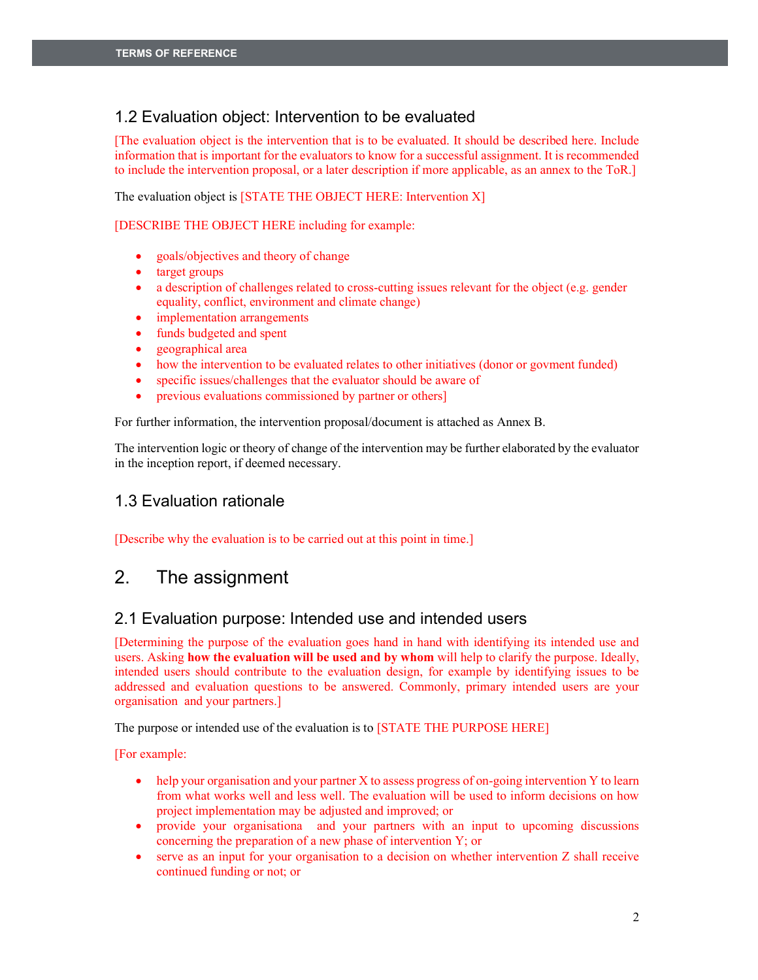# 1.2 Evaluation object: Intervention to be evaluated

[The evaluation object is the intervention that is to be evaluated. It should be described here. Include information that is important for the evaluators to know for a successful assignment. It is recommended to include the intervention proposal, or a later description if more applicable, as an annex to the ToR.]

The evaluation object is [STATE THE OBJECT HERE: Intervention X]

[DESCRIBE THE OBJECT HERE including for example:

- x goals/objectives and theory of change
- target groups
- $\bullet$  a description of challenges related to cross-cutting issues relevant for the object (e.g. gender equality, conflict, environment and climate change)
- implementation arrangements
- funds budgeted and spent
- geographical area
- how the intervention to be evaluated relates to other initiatives (donor or govment funded)
- specific issues/challenges that the evaluator should be aware of
- previous evaluations commissioned by partner or others]

For further information, the intervention proposal/document is attached as Annex B.

The intervention logic or theory of change of the intervention may be further elaborated by the evaluator in the inception report, if deemed necessary.

# 1.3 Evaluation rationale

[Describe why the evaluation is to be carried out at this point in time.]

# 2. The assignment

## 2.1 Evaluation purpose: Intended use and intended users

[Determining the purpose of the evaluation goes hand in hand with identifying its intended use and users. Asking **how the evaluation will be used and by whom** will help to clarify the purpose. Ideally, intended users should contribute to the evaluation design, for example by identifying issues to be addressed and evaluation questions to be answered. Commonly, primary intended users are your organisation and your partners.]

The purpose or intended use of the evaluation is to [STATE THE PURPOSE HERE]

[For example:

- help your organisation and your partner X to assess progress of on-going intervention Y to learn from what works well and less well. The evaluation will be used to inform decisions on how project implementation may be adjusted and improved; or
- provide your organisationa and your partners with an input to upcoming discussions concerning the preparation of a new phase of intervention Y; or
- serve as an input for your organisation to a decision on whether intervention Z shall receive continued funding or not; or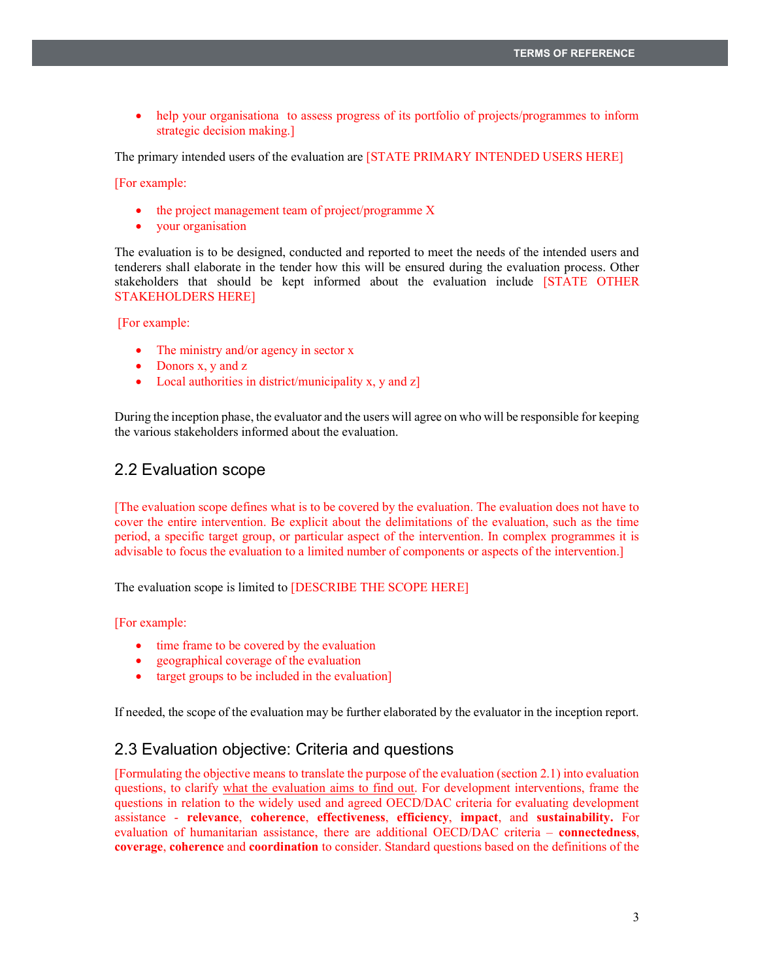• help your organisationa to assess progress of its portfolio of projects/programmes to inform strategic decision making.]

The primary intended users of the evaluation are [STATE PRIMARY INTENDED USERS HERE]

[For example:

- $\bullet$  the project management team of project/programme X
- your organisation

The evaluation is to be designed, conducted and reported to meet the needs of the intended users and tenderers shall elaborate in the tender how this will be ensured during the evaluation process. Other stakeholders that should be kept informed about the evaluation include [STATE OTHER STAKEHOLDERS HERE]

[For example:

- The ministry and/or agency in sector  $x$
- Donors  $x, y$  and  $z$
- $\bullet$  Local authorities in district/municipality x, y and z]

During the inception phase, the evaluator and the users will agree on who will be responsible for keeping the various stakeholders informed about the evaluation.

### 2.2 Evaluation scope

[The evaluation scope defines what is to be covered by the evaluation. The evaluation does not have to cover the entire intervention. Be explicit about the delimitations of the evaluation, such as the time period, a specific target group, or particular aspect of the intervention. In complex programmes it is advisable to focus the evaluation to a limited number of components or aspects of the intervention.]

The evaluation scope is limited to [DESCRIBE THE SCOPE HERE]

[For example:

- time frame to be covered by the evaluation
- geographical coverage of the evaluation
- $\bullet$  target groups to be included in the evaluation

If needed, the scope of the evaluation may be further elaborated by the evaluator in the inception report.

## 2.3 Evaluation objective: Criteria and questions

[Formulating the objective means to translate the purpose of the evaluation (section 2.1) into evaluation questions, to clarify what the evaluation aims to find out. For development interventions, frame the questions in relation to the widely used and agreed OECD/DAC criteria for evaluating development assistance - **relevance**, **coherence**, **effectiveness**, **efficiency**, **impact**, and **sustainability.** For evaluation of humanitarian assistance, there are additional OECD/DAC criteria – **connectedness**, **coverage**, **coherence** and **coordination** to consider. Standard questions based on the definitions of the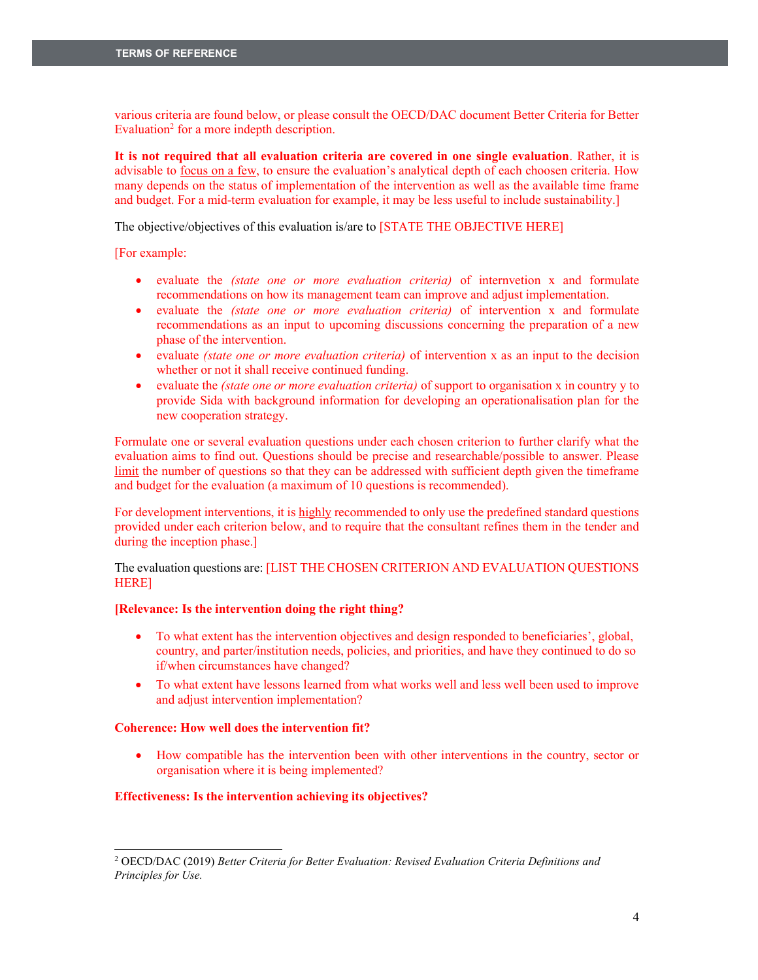various criteria are found below, or please consult the OECD/DAC document Better Criteria for Better Evaluation<sup>2</sup> for a more indepth description.

**It is not required that all evaluation criteria are covered in one single evaluation**. Rather, it is advisable to focus on a few, to ensure the evaluation's analytical depth of each choosen criteria. How many depends on the status of implementation of the intervention as well as the available time frame and budget. For a mid-term evaluation for example, it may be less useful to include sustainability.]

The objective/objectives of this evaluation is/are to [STATE THE OBJECTIVE HERE]

[For example:

- x evaluate the *(state one or more evaluation criteria)* of internvetion x and formulate recommendations on how its management team can improve and adjust implementation.
- x evaluate the *(state one or more evaluation criteria)* of intervention x and formulate recommendations as an input to upcoming discussions concerning the preparation of a new phase of the intervention.
- evaluate *(state one or more evaluation criteria)* of intervention x as an input to the decision whether or not it shall receive continued funding.
- x evaluate the *(state one or more evaluation criteria)* of support to organisation x in country y to provide Sida with background information for developing an operationalisation plan for the new cooperation strategy.

Formulate one or several evaluation questions under each chosen criterion to further clarify what the evaluation aims to find out. Questions should be precise and researchable/possible to answer. Please limit the number of questions so that they can be addressed with sufficient depth given the timeframe and budget for the evaluation (a maximum of 10 questions is recommended).

For development interventions, it is highly recommended to only use the predefined standard questions provided under each criterion below, and to require that the consultant refines them in the tender and during the inception phase.]

The evaluation questions are: [LIST THE CHOSEN CRITERION AND EVALUATION QUESTIONS HERE]

#### **[Relevance: Is the intervention doing the right thing?**

- $\bullet$  To what extent has the intervention objectives and design responded to beneficiaries', global, country, and parter/institution needs, policies, and priorities, and have they continued to do so if/when circumstances have changed?
- To what extent have lessons learned from what works well and less well been used to improve and adjust intervention implementation?

#### **Coherence: How well does the intervention fit?**

• How compatible has the intervention been with other interventions in the country, sector or organisation where it is being implemented?

#### **Effectiveness: Is the intervention achieving its objectives?**

<sup>2</sup> OECD/DAC (2019) *Better Criteria for Better Evaluation: Revised Evaluation Criteria Definitions and Principles for Use.*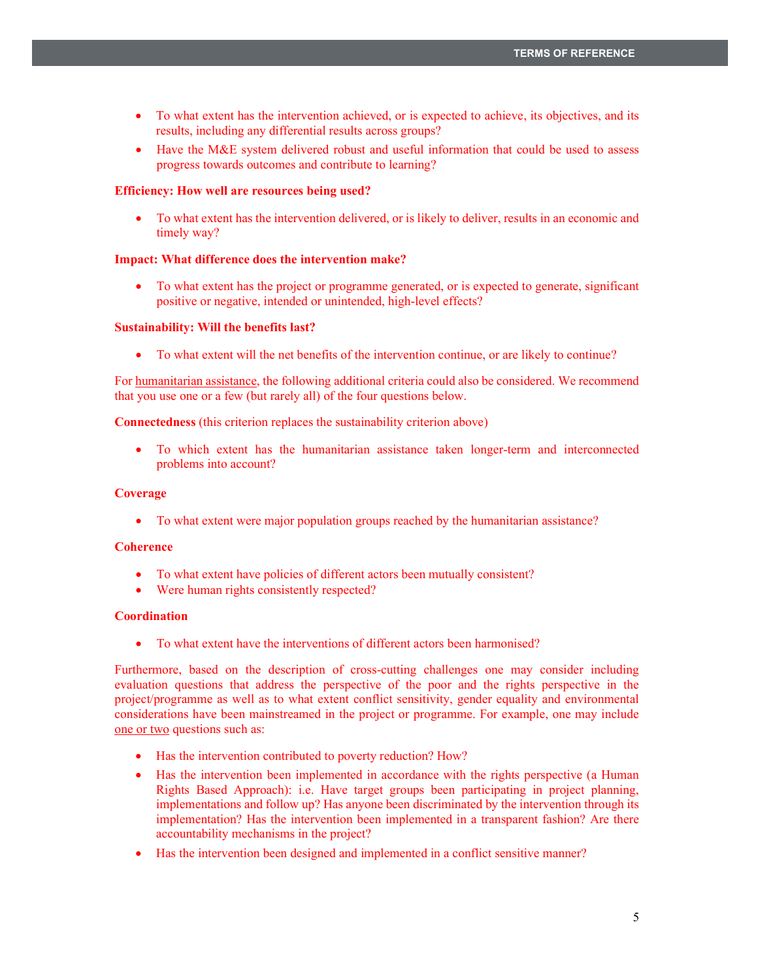- To what extent has the intervention achieved, or is expected to achieve, its objectives, and its results, including any differential results across groups?
- $\bullet$  Have the M&E system delivered robust and useful information that could be used to assess progress towards outcomes and contribute to learning?

#### **Efficiency: How well are resources being used?**

To what extent has the intervention delivered, or is likely to deliver, results in an economic and timely way?

#### **Impact: What difference does the intervention make?**

To what extent has the project or programme generated, or is expected to generate, significant positive or negative, intended or unintended, high-level effects?

#### **Sustainability: Will the benefits last?**

• To what extent will the net benefits of the intervention continue, or are likely to continue?

For humanitarian assistance, the following additional criteria could also be considered. We recommend that you use one or a few (but rarely all) of the four questions below.

**Connectedness** (this criterion replaces the sustainability criterion above)

• To which extent has the humanitarian assistance taken longer-term and interconnected problems into account?

#### **Coverage**

• To what extent were major population groups reached by the humanitarian assistance?

#### **Coherence**

- To what extent have policies of different actors been mutually consistent?
- Were human rights consistently respected?

#### **Coordination**

• To what extent have the interventions of different actors been harmonised?

Furthermore, based on the description of cross-cutting challenges one may consider including evaluation questions that address the perspective of the poor and the rights perspective in the project/programme as well as to what extent conflict sensitivity, gender equality and environmental considerations have been mainstreamed in the project or programme. For example, one may include one or two questions such as:

- Has the intervention contributed to poverty reduction? How?
- Has the intervention been implemented in accordance with the rights perspective (a Human Rights Based Approach): i.e. Have target groups been participating in project planning, implementations and follow up? Has anyone been discriminated by the intervention through its implementation? Has the intervention been implemented in a transparent fashion? Are there accountability mechanisms in the project?
- Has the intervention been designed and implemented in a conflict sensitive manner?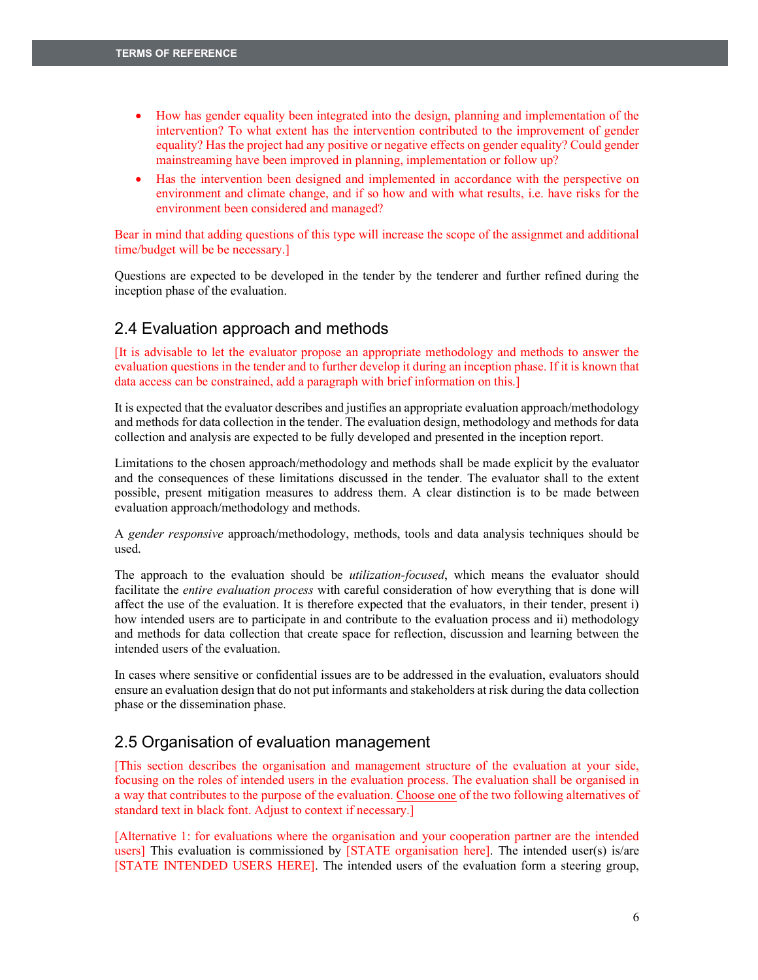- How has gender equality been integrated into the design, planning and implementation of the intervention? To what extent has the intervention contributed to the improvement of gender equality? Has the project had any positive or negative effects on gender equality? Could gender mainstreaming have been improved in planning, implementation or follow up?
- Has the intervention been designed and implemented in accordance with the perspective on environment and climate change, and if so how and with what results, i.e. have risks for the environment been considered and managed?

Bear in mind that adding questions of this type will increase the scope of the assignmet and additional time/budget will be be necessary.]

Questions are expected to be developed in the tender by the tenderer and further refined during the inception phase of the evaluation.

## 2.4 Evaluation approach and methods

[It is advisable to let the evaluator propose an appropriate methodology and methods to answer the evaluation questions in the tender and to further develop it during an inception phase. If it is known that data access can be constrained, add a paragraph with brief information on this.]

It is expected that the evaluator describes and justifies an appropriate evaluation approach/methodology and methods for data collection in the tender. The evaluation design, methodology and methods for data collection and analysis are expected to be fully developed and presented in the inception report.

Limitations to the chosen approach/methodology and methods shall be made explicit by the evaluator and the consequences of these limitations discussed in the tender. The evaluator shall to the extent possible, present mitigation measures to address them. A clear distinction is to be made between evaluation approach/methodology and methods.

A *gender responsive* approach/methodology, methods, tools and data analysis techniques should be used.

The approach to the evaluation should be *utilization-focused*, which means the evaluator should facilitate the *entire evaluation process* with careful consideration of how everything that is done will affect the use of the evaluation. It is therefore expected that the evaluators, in their tender, present i) how intended users are to participate in and contribute to the evaluation process and ii) methodology and methods for data collection that create space for reflection, discussion and learning between the intended users of the evaluation.

In cases where sensitive or confidential issues are to be addressed in the evaluation, evaluators should ensure an evaluation design that do not put informants and stakeholders at risk during the data collection phase or the dissemination phase.

### 2.5 Organisation of evaluation management

[This section describes the organisation and management structure of the evaluation at your side, focusing on the roles of intended users in the evaluation process. The evaluation shall be organised in a way that contributes to the purpose of the evaluation. Choose one of the two following alternatives of standard text in black font. Adjust to context if necessary.]

[Alternative 1: for evaluations where the organisation and your cooperation partner are the intended users] This evaluation is commissioned by [STATE organisation here]. The intended user(s) is/are [STATE INTENDED USERS HERE]. The intended users of the evaluation form a steering group,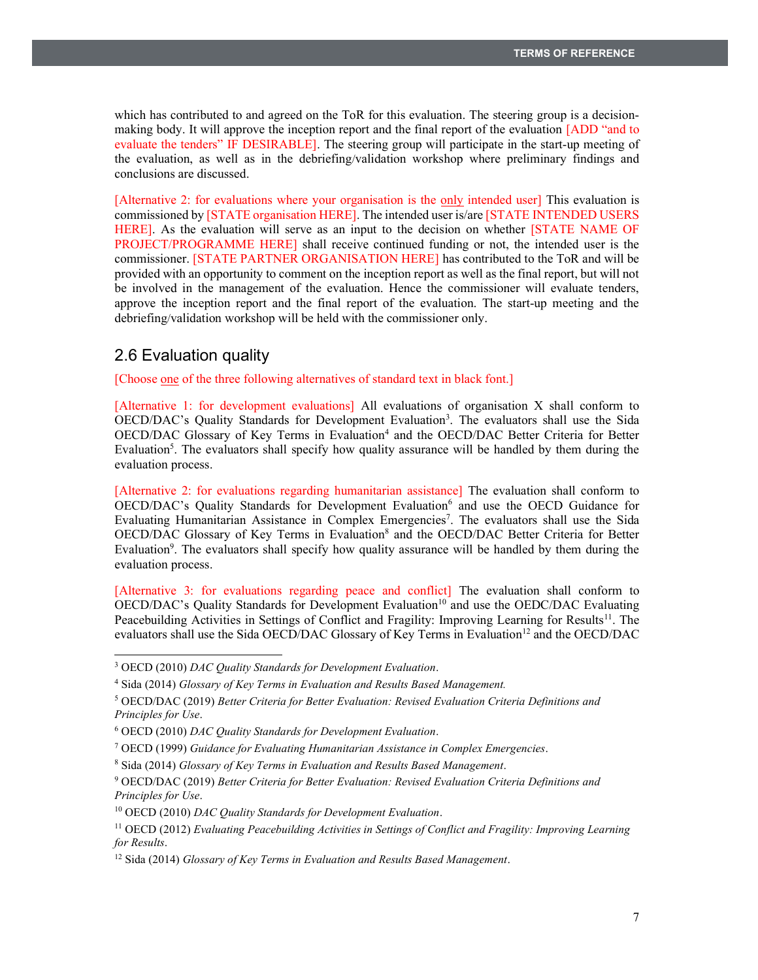which has contributed to and agreed on the ToR for this evaluation. The steering group is a decisionmaking body. It will approve the inception report and the final report of the evaluation [ADD "and to evaluate the tenders" IF DESIRABLE]. The steering group will participate in the start-up meeting of the evaluation, as well as in the debriefing/validation workshop where preliminary findings and conclusions are discussed.

[Alternative 2: for evaluations where your organisation is the only intended user] This evaluation is commissioned by [STATE organisation HERE]. The intended user is/are [STATE INTENDED USERS HERE]. As the evaluation will serve as an input to the decision on whether [STATE NAME OF PROJECT/PROGRAMME HERE] shall receive continued funding or not, the intended user is the commissioner. [STATE PARTNER ORGANISATION HERE] has contributed to the ToR and will be provided with an opportunity to comment on the inception report as well as the final report, but will not be involved in the management of the evaluation. Hence the commissioner will evaluate tenders, approve the inception report and the final report of the evaluation. The start-up meeting and the debriefing/validation workshop will be held with the commissioner only.

## 2.6 Evaluation quality

[Choose one of the three following alternatives of standard text in black font.]

[Alternative 1: for development evaluations] All evaluations of organisation X shall conform to OECD/DAC's Quality Standards for Development Evaluation<sup>3</sup>. The evaluators shall use the Sida OECD/DAC Glossary of Key Terms in Evaluation<sup>4</sup> and the OECD/DAC Better Criteria for Better Evaluation<sup>5</sup>. The evaluators shall specify how quality assurance will be handled by them during the evaluation process.

[Alternative 2: for evaluations regarding humanitarian assistance] The evaluation shall conform to OECD/DAC's Quality Standards for Development Evaluation<sup>6</sup> and use the OECD Guidance for Evaluating Humanitarian Assistance in Complex Emergencies<sup>7</sup>. The evaluators shall use the Sida OECD/DAC Glossary of Key Terms in Evaluation<sup>8</sup> and the OECD/DAC Better Criteria for Better Evaluation<sup>9</sup>. The evaluators shall specify how quality assurance will be handled by them during the evaluation process.

[Alternative 3: for evaluations regarding peace and conflict] The evaluation shall conform to  $OECD/DAC$ 's Quality Standards for Development Evaluation<sup>10</sup> and use the OEDC/DAC Evaluating Peacebuilding Activities in Settings of Conflict and Fragility: Improving Learning for Results<sup>11</sup>. The evaluators shall use the Sida OECD/DAC Glossary of Key Terms in Evaluation<sup>12</sup> and the OECD/DAC

<sup>3</sup> OECD (2010) *DAC Quality Standards for Development Evaluation*.

<sup>4</sup> Sida (2014) *Glossary of Key Terms in Evaluation and Results Based Management.*

<sup>5</sup> OECD/DAC (2019) *Better Criteria for Better Evaluation: Revised Evaluation Criteria Definitions and Principles for Use*.

<sup>6</sup> OECD (2010) *DAC Quality Standards for Development Evaluation*.

<sup>7</sup> OECD (1999) *Guidance for Evaluating Humanitarian Assistance in Complex Emergencies*.

<sup>8</sup> Sida (2014) *Glossary of Key Terms in Evaluation and Results Based Management*.

<sup>9</sup> OECD/DAC (2019) *Better Criteria for Better Evaluation: Revised Evaluation Criteria Definitions and Principles for Use*.

<sup>10</sup> OECD (2010) *DAC Quality Standards for Development Evaluation*.

<sup>11</sup> OECD (2012) *Evaluating Peacebuilding Activities in Settings of Conflict and Fragility: Improving Learning for Results*.

<sup>12</sup> Sida (2014) *Glossary of Key Terms in Evaluation and Results Based Management*.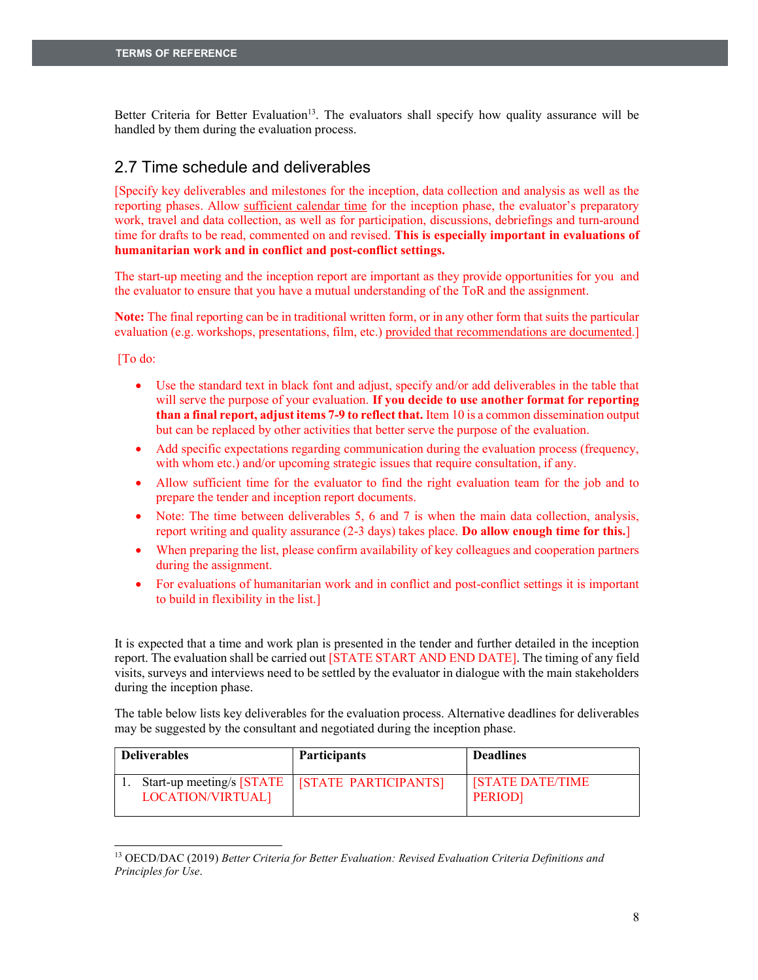Better Criteria for Better Evaluation<sup>13</sup>. The evaluators shall specify how quality assurance will be handled by them during the evaluation process.

# 2.7 Time schedule and deliverables

[Specify key deliverables and milestones for the inception, data collection and analysis as well as the reporting phases. Allow sufficient calendar time for the inception phase, the evaluator's preparatory work, travel and data collection, as well as for participation, discussions, debriefings and turn-around time for drafts to be read, commented on and revised. **This is especially important in evaluations of humanitarian work and in conflict and post-conflict settings.**

The start-up meeting and the inception report are important as they provide opportunities for you and the evaluator to ensure that you have a mutual understanding of the ToR and the assignment.

**Note:** The final reporting can be in traditional written form, or in any other form that suits the particular evaluation (e.g. workshops, presentations, film, etc.) provided that recommendations are documented.]

[To do:

- $\bullet$  Use the standard text in black font and adjust, specify and/or add deliverables in the table that will serve the purpose of your evaluation. **If you decide to use another format for reporting than a final report, adjust items 7-9 to reflect that.** Item 10 is a common dissemination output but can be replaced by other activities that better serve the purpose of the evaluation.
- Add specific expectations regarding communication during the evaluation process (frequency, with whom etc.) and/or upcoming strategic issues that require consultation, if any.
- Allow sufficient time for the evaluator to find the right evaluation team for the job and to prepare the tender and inception report documents.
- $\bullet$  Note: The time between deliverables 5, 6 and 7 is when the main data collection, analysis, report writing and quality assurance (2-3 days) takes place. **Do allow enough time for this.**]
- When preparing the list, please confirm availability of key colleagues and cooperation partners during the assignment.
- For evaluations of humanitarian work and in conflict and post-conflict settings it is important to build in flexibility in the list.]

It is expected that a time and work plan is presented in the tender and further detailed in the inception report. The evaluation shall be carried out [STATE START AND END DATE]. The timing of any field visits, surveys and interviews need to be settled by the evaluator in dialogue with the main stakeholders during the inception phase.

The table below lists key deliverables for the evaluation process. Alternative deadlines for deliverables may be suggested by the consultant and negotiated during the inception phase.

| <b>Deliverables</b> | <b>Participants</b>                              | <b>Deadlines</b>                         |
|---------------------|--------------------------------------------------|------------------------------------------|
| LOCATION/VIRTUAL]   | Start-up meeting/s [STATE   [STATE PARTICIPANTS] | <b>STATE DATE/TIME</b><br><b>PERIODI</b> |

<sup>13</sup> OECD/DAC (2019) *Better Criteria for Better Evaluation: Revised Evaluation Criteria Definitions and Principles for Use*.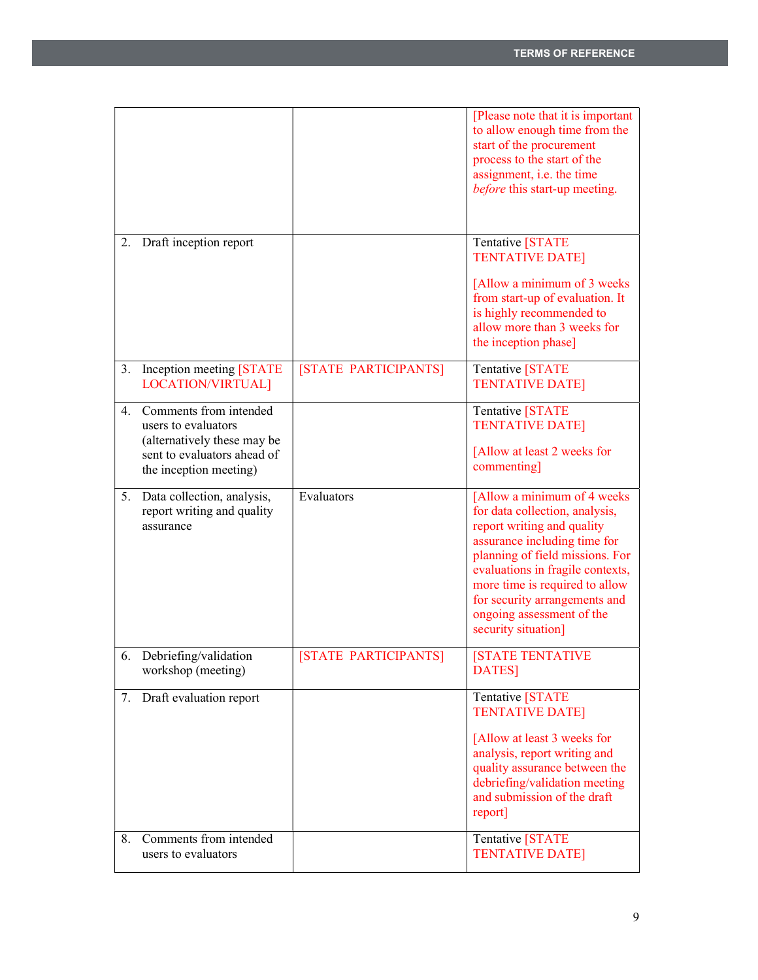|                  |                                                                                                                                       |                      | [Please note that it is important<br>to allow enough time from the<br>start of the procurement<br>process to the start of the<br>assignment, i.e. the time<br><i>before</i> this start-up meeting.                                                       |
|------------------|---------------------------------------------------------------------------------------------------------------------------------------|----------------------|----------------------------------------------------------------------------------------------------------------------------------------------------------------------------------------------------------------------------------------------------------|
|                  | 2. Draft inception report                                                                                                             |                      | Tentative [STATE<br><b>TENTATIVE DATE]</b><br>[Allow a minimum of 3 weeks<br>from start-up of evaluation. It<br>is highly recommended to<br>allow more than 3 weeks for<br>the inception phase]                                                          |
| 3.               | Inception meeting [STATE]<br>LOCATION/VIRTUAL]                                                                                        | [STATE PARTICIPANTS] | Tentative [STATE<br><b>TENTATIVE DATE]</b>                                                                                                                                                                                                               |
| $\overline{4}$ . | Comments from intended<br>users to evaluators<br>(alternatively these may be<br>sent to evaluators ahead of<br>the inception meeting) |                      | Tentative [STATE<br><b>TENTATIVE DATE]</b><br>[Allow at least 2 weeks for<br>commenting]                                                                                                                                                                 |
| 5.               | Data collection, analysis,<br>report writing and quality                                                                              | Evaluators           | [Allow a minimum of 4 weeks<br>for data collection, analysis,                                                                                                                                                                                            |
|                  | assurance                                                                                                                             |                      | report writing and quality<br>assurance including time for<br>planning of field missions. For<br>evaluations in fragile contexts,<br>more time is required to allow<br>for security arrangements and<br>ongoing assessment of the<br>security situation] |
| 6.               | Debriefing/validation<br>workshop (meeting)                                                                                           | [STATE PARTICIPANTS] | <b>[STATE TENTATIVE</b><br>DATES]                                                                                                                                                                                                                        |
| 7.               | Draft evaluation report                                                                                                               |                      | Tentative [STATE<br><b>TENTATIVE DATE]</b><br>[Allow at least 3 weeks for<br>analysis, report writing and<br>quality assurance between the<br>debriefing/validation meeting<br>and submission of the draft<br>report]                                    |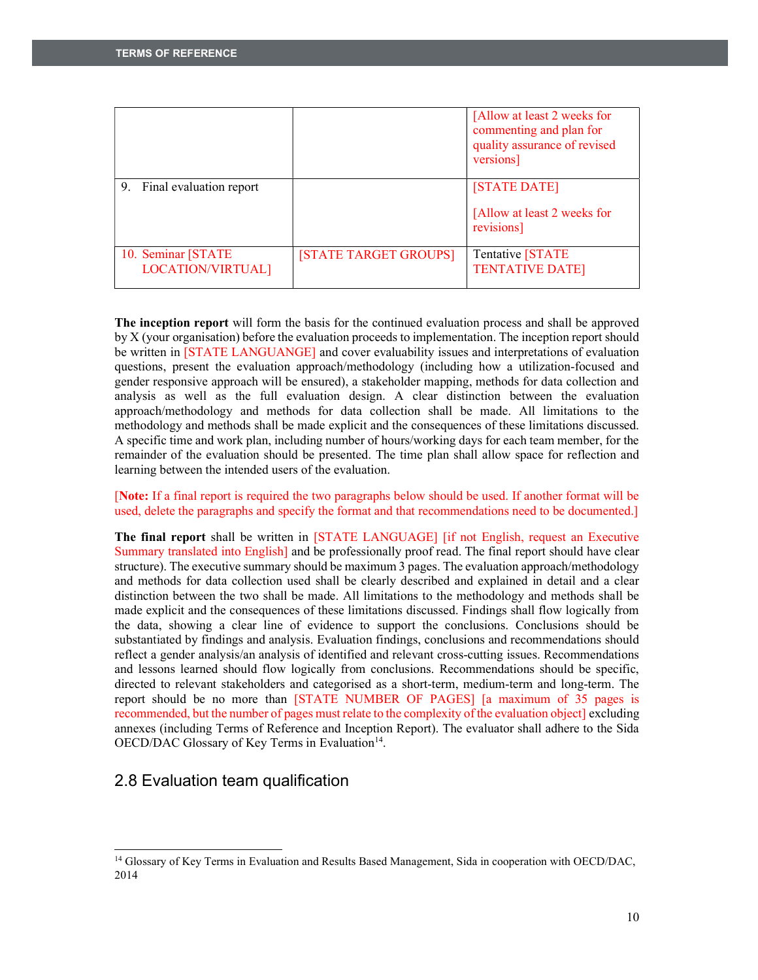|                                          |                       | [Allow at least 2 weeks for<br>commenting and plan for<br>quality assurance of revised<br>versions] |
|------------------------------------------|-----------------------|-----------------------------------------------------------------------------------------------------|
| 9. Final evaluation report               |                       | [STATE DATE]<br>[Allow at least 2 weeks for<br>revisions]                                           |
| 10. Seminar [STATE]<br>LOCATION/VIRTUAL] | [STATE TARGET GROUPS] | Tentative [STATE<br><b>TENTATIVE DATE]</b>                                                          |

**The inception report** will form the basis for the continued evaluation process and shall be approved by X (your organisation) before the evaluation proceeds to implementation. The inception report should be written in [STATE LANGUANGE] and cover evaluability issues and interpretations of evaluation questions, present the evaluation approach/methodology (including how a utilization-focused and gender responsive approach will be ensured), a stakeholder mapping, methods for data collection and analysis as well as the full evaluation design. A clear distinction between the evaluation approach/methodology and methods for data collection shall be made. All limitations to the methodology and methods shall be made explicit and the consequences of these limitations discussed. A specific time and work plan, including number of hours/working days for each team member, for the remainder of the evaluation should be presented. The time plan shall allow space for reflection and learning between the intended users of the evaluation.

[**Note:** If a final report is required the two paragraphs below should be used. If another format will be used, delete the paragraphs and specify the format and that recommendations need to be documented.]

**The final report** shall be written in [STATE LANGUAGE] [if not English, request an Executive Summary translated into English] and be professionally proof read. The final report should have clear structure). The executive summary should be maximum 3 pages. The evaluation approach/methodology and methods for data collection used shall be clearly described and explained in detail and a clear distinction between the two shall be made. All limitations to the methodology and methods shall be made explicit and the consequences of these limitations discussed. Findings shall flow logically from the data, showing a clear line of evidence to support the conclusions. Conclusions should be substantiated by findings and analysis. Evaluation findings, conclusions and recommendations should reflect a gender analysis/an analysis of identified and relevant cross-cutting issues. Recommendations and lessons learned should flow logically from conclusions. Recommendations should be specific, directed to relevant stakeholders and categorised as a short-term, medium-term and long-term. The report should be no more than [STATE NUMBER OF PAGES] [a maximum of 35 pages is recommended, but the number of pages must relate to the complexity of the evaluation object] excluding annexes (including Terms of Reference and Inception Report). The evaluator shall adhere to the Sida OECD/DAC Glossary of Key Terms in Evaluation<sup>14</sup>.

## 2.8 Evaluation team qualification

<sup>&</sup>lt;sup>14</sup> Glossary of Key Terms in Evaluation and Results Based Management, Sida in cooperation with OECD/DAC, 2014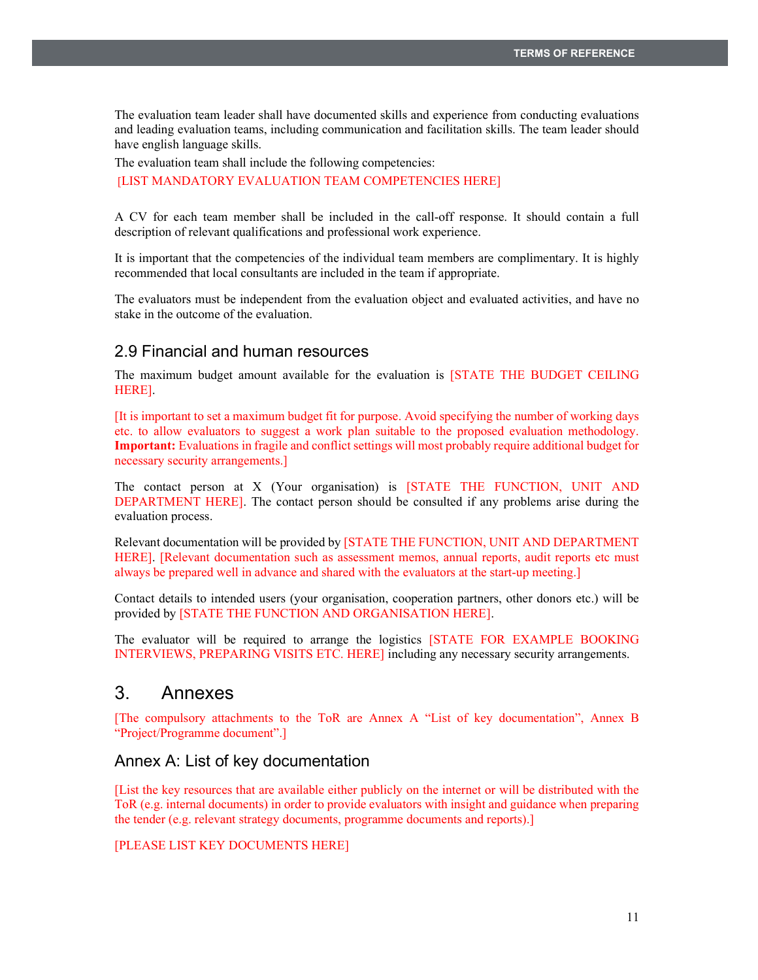The evaluation team leader shall have documented skills and experience from conducting evaluations and leading evaluation teams, including communication and facilitation skills. The team leader should have english language skills.

The evaluation team shall include the following competencies: [LIST MANDATORY EVALUATION TEAM COMPETENCIES HERE]

A CV for each team member shall be included in the call-off response. It should contain a full description of relevant qualifications and professional work experience.

It is important that the competencies of the individual team members are complimentary. It is highly recommended that local consultants are included in the team if appropriate.

The evaluators must be independent from the evaluation object and evaluated activities, and have no stake in the outcome of the evaluation.

## 2.9 Financial and human resources

The maximum budget amount available for the evaluation is [STATE THE BUDGET CEILING HERE].

[It is important to set a maximum budget fit for purpose. Avoid specifying the number of working days etc. to allow evaluators to suggest a work plan suitable to the proposed evaluation methodology. **Important:** Evaluations in fragile and conflict settings will most probably require additional budget for necessary security arrangements.]

The contact person at X (Your organisation) is [STATE THE FUNCTION, UNIT AND DEPARTMENT HERE]. The contact person should be consulted if any problems arise during the evaluation process.

Relevant documentation will be provided by [STATE THE FUNCTION, UNIT AND DEPARTMENT HERE]. [Relevant documentation such as assessment memos, annual reports, audit reports etc must always be prepared well in advance and shared with the evaluators at the start-up meeting.]

Contact details to intended users (your organisation, cooperation partners, other donors etc.) will be provided by [STATE THE FUNCTION AND ORGANISATION HERE].

The evaluator will be required to arrange the logistics [STATE FOR EXAMPLE BOOKING INTERVIEWS, PREPARING VISITS ETC. HERE] including any necessary security arrangements.

# 3. Annexes

[The compulsory attachments to the ToR are Annex A "List of key documentation", Annex B "Project/Programme document".]

### Annex A: List of key documentation

[List the key resources that are available either publicly on the internet or will be distributed with the ToR (e.g. internal documents) in order to provide evaluators with insight and guidance when preparing the tender (e.g. relevant strategy documents, programme documents and reports).]

#### [PLEASE LIST KEY DOCUMENTS HERE]